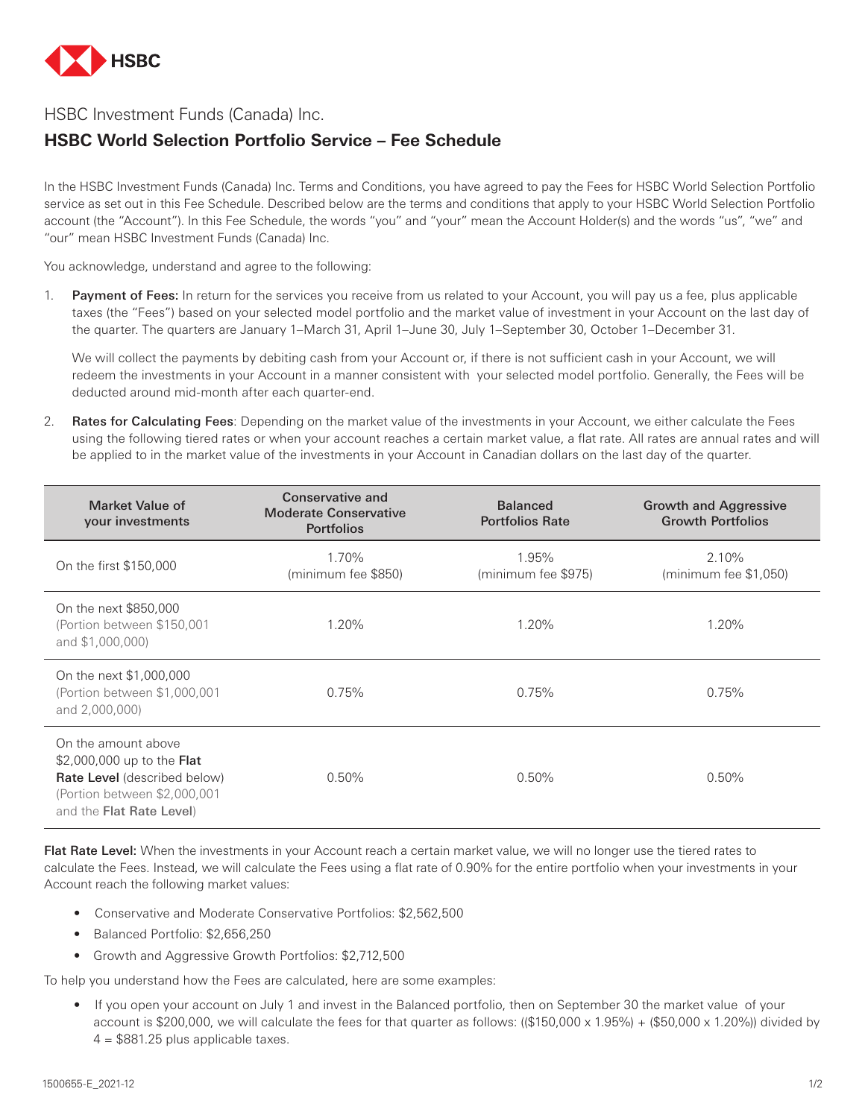

## HSBC Investment Funds (Canada) Inc.

## **HSBC World Selection Portfolio Service – Fee Schedule**

In the HSBC Investment Funds (Canada) Inc. Terms and Conditions, you have agreed to pay the Fees for HSBC World Selection Portfolio service as set out in this Fee Schedule. Described below are the terms and conditions that apply to your HSBC World Selection Portfolio account (the "Account"). In this Fee Schedule, the words "you" and "your" mean the Account Holder(s) and the words "us", "we" and "our" mean HSBC Investment Funds (Canada) Inc.

You acknowledge, understand and agree to the following:

1. Payment of Fees: In return for the services you receive from us related to your Account, you will pay us a fee, plus applicable taxes (the "Fees") based on your selected model portfolio and the market value of investment in your Account on the last day of the quarter. The quarters are January 1–March 31, April 1–June 30, July 1–September 30, October 1–December 31.

We will collect the payments by debiting cash from your Account or, if there is not sufficient cash in your Account, we will redeem the investments in your Account in a manner consistent with your selected model portfolio. Generally, the Fees will be deducted around mid-month after each quarter-end.

2. Rates for Calculating Fees: Depending on the market value of the investments in your Account, we either calculate the Fees using the following tiered rates or when your account reaches a certain market value, a flat rate. All rates are annual rates and will be applied to in the market value of the investments in your Account in Canadian dollars on the last day of the quarter.

| Market Value of<br>your investments                                                                                                                         | Conservative and<br><b>Moderate Conservative</b><br><b>Portfolios</b> | <b>Balanced</b><br><b>Portfolios Rate</b> | <b>Growth and Aggressive</b><br><b>Growth Portfolios</b> |
|-------------------------------------------------------------------------------------------------------------------------------------------------------------|-----------------------------------------------------------------------|-------------------------------------------|----------------------------------------------------------|
| On the first \$150,000                                                                                                                                      | 1.70%<br>(minimum fee \$850)                                          | 1.95%<br>(minimum fee \$975)              | 2.10%<br>$(\text{minimum fee } $1,050)$                  |
| On the next \$850,000<br>(Portion between \$150,001<br>and \$1,000,000)                                                                                     | $1.20\%$                                                              | 1.20%                                     | 1.20%                                                    |
| On the next \$1,000,000<br>(Portion between \$1,000,001<br>and 2,000,000)                                                                                   | 0.75%                                                                 | 0.75%                                     | 0.75%                                                    |
| On the amount above<br>\$2,000,000 up to the <b>Flat</b><br><b>Rate Level</b> (described below)<br>(Portion between \$2,000,001<br>and the Flat Rate Level) | $0.50\%$                                                              | $0.50\%$                                  | $0.50\%$                                                 |

Flat Rate Level: When the investments in your Account reach a certain market value, we will no longer use the tiered rates to calculate the Fees. Instead, we will calculate the Fees using a flat rate of 0.90% for the entire portfolio when your investments in your Account reach the following market values:

- Conservative and Moderate Conservative Portfolios: \$2,562,500
- Balanced Portfolio: \$2,656,250
- Growth and Aggressive Growth Portfolios: \$2,712,500

To help you understand how the Fees are calculated, here are some examples:

• If you open your account on July 1 and invest in the Balanced portfolio, then on September 30 the market value of your account is \$200,000, we will calculate the fees for that quarter as follows: ((\$150,000 x 1.95%) + (\$50,000 x 1.20%)) divided by  $4 = $881.25$  plus applicable taxes.